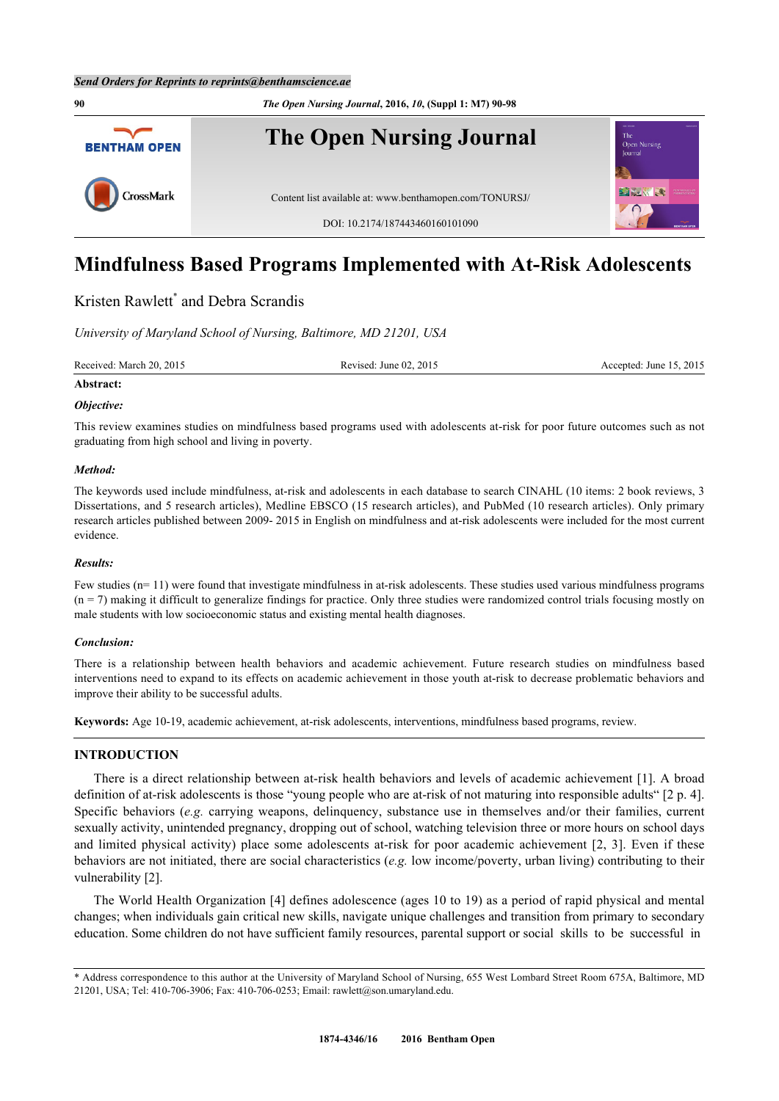

# **Mindfulness Based Programs Implemented with At-Risk Adolescents**

## Kristen Rawlett<sup>[\\*](#page-0-0)</sup> and Debra Scrandis

*University of Maryland School of Nursing, Baltimore, MD 21201, USA*

Received: March 20, 2015 Revised: June 02, 2015 Revised: June 02, 2015 Accepted: June 15, 2015

## **Abstract:**

## *Objective:*

This review examines studies on mindfulness based programs used with adolescents at-risk for poor future outcomes such as not graduating from high school and living in poverty.

## *Method:*

The keywords used include mindfulness, at-risk and adolescents in each database to search CINAHL (10 items: 2 book reviews, 3 Dissertations, and 5 research articles), Medline EBSCO (15 research articles), and PubMed (10 research articles). Only primary research articles published between 2009- 2015 in English on mindfulness and at-risk adolescents were included for the most current evidence.

## *Results:*

Few studies (n= 11) were found that investigate mindfulness in at-risk adolescents. These studies used various mindfulness programs  $(n = 7)$  making it difficult to generalize findings for practice. Only three studies were randomized control trials focusing mostly on male students with low socioeconomic status and existing mental health diagnoses.

## *Conclusion:*

There is a relationship between health behaviors and academic achievement. Future research studies on mindfulness based interventions need to expand to its effects on academic achievement in those youth at-risk to decrease problematic behaviors and improve their ability to be successful adults.

**Keywords:** Age 10-19, academic achievement, at-risk adolescents, interventions, mindfulness based programs, review.

## **INTRODUCTION**

There is a direct relationship between at-risk health behaviors and levels of academic achievement [\[1\]](#page-6-0). A broad definition of at-risk adolescents is those "young people who are at-risk of not maturing into responsible adults" [2 p. 4]. Specific behaviors (*e.g.* carrying weapons, delinquency, substance use in themselves and/or their families, current sexually activity, unintended pregnancy, dropping out of school, watching television three or more hours on school days and limited physical activity) place some adolescents at-risk for poor academic achievement[[2](#page-6-1), [3\]](#page-6-2). Even if these behaviors are not initiated, there are social characteristics (*e.g.* low income/poverty, urban living) contributing to their vulnerability [[2\]](#page-6-1).

The World Health Organization [[4\]](#page-6-3) defines adolescence (ages 10 to 19) as a period of rapid physical and mental changes; when individuals gain critical new skills, navigate unique challenges and transition from primary to secondary education. Some children do not have sufficient family resources, parental support or social skills to be successful in

<span id="page-0-0"></span><sup>\*</sup> Address correspondence to this author at the University of Maryland School of Nursing, 655 West Lombard Street Room 675A, Baltimore, MD 21201, USA; Tel: 410-706-3906; Fax: 410-706-0253; Email: [rawlett@son.umaryland.edu.](mailto:rawlett@son.umaryland.edu)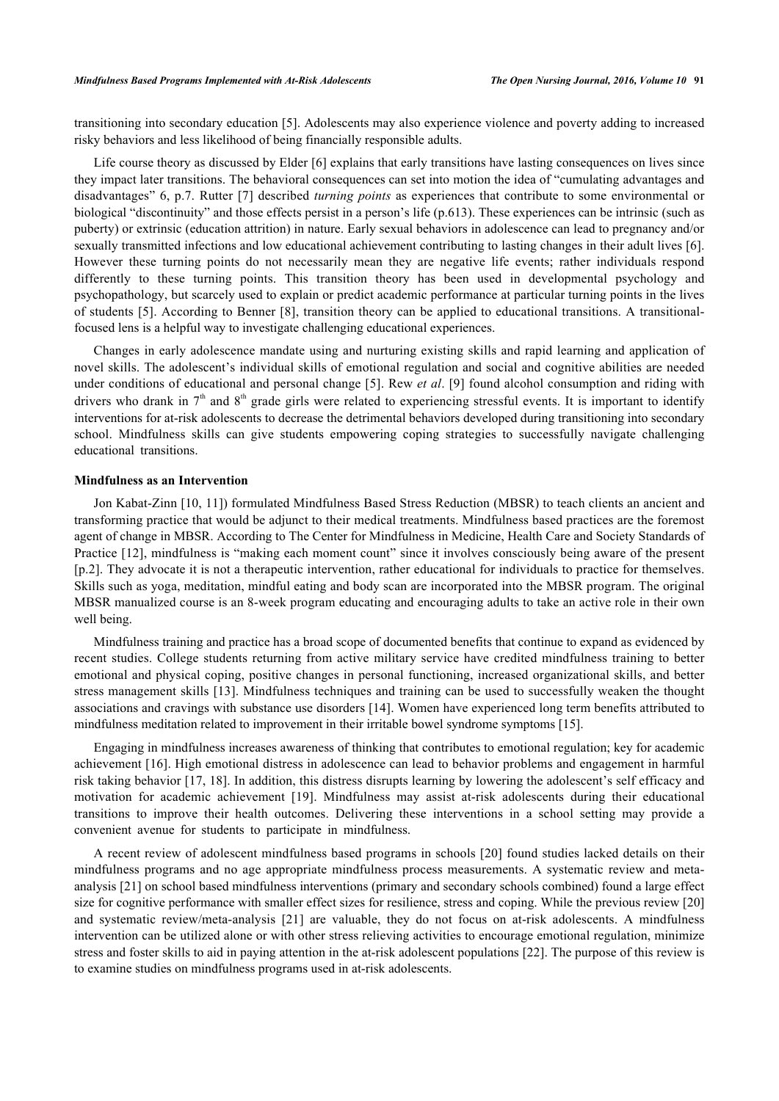transitioning into secondary education [[5\]](#page-6-4). Adolescents may also experience violence and poverty adding to increased risky behaviors and less likelihood of being financially responsible adults.

Life course theory as discussed by Elder [\[6\]](#page-6-5) explains that early transitions have lasting consequences on lives since they impact later transitions. The behavioral consequences can set into motion the idea of "cumulating advantages and disadvantages" 6, p.7. Rutter [\[7](#page-6-6)] described *turning points* as experiences that contribute to some environmental or biological "discontinuity" and those effects persist in a person's life (p.613). These experiences can be intrinsic (such as puberty) or extrinsic (education attrition) in nature. Early sexual behaviors in adolescence can lead to pregnancy and/or sexually transmitted infections and low educational achievement contributing to lasting changes in their adult lives [[6\]](#page-6-5). However these turning points do not necessarily mean they are negative life events; rather individuals respond differently to these turning points. This transition theory has been used in developmental psychology and psychopathology, but scarcely used to explain or predict academic performance at particular turning points in the lives of students [[5](#page-6-4)]. According to Benner [[8\]](#page-7-0), transition theory can be applied to educational transitions. A transitionalfocused lens is a helpful way to investigate challenging educational experiences.

Changes in early adolescence mandate using and nurturing existing skills and rapid learning and application of novel skills. The adolescent's individual skills of emotional regulation and social and cognitive abilities are needed under conditions of educational and personal change [[5\]](#page-6-4). Rew *et al*. [[9\]](#page-7-1) found alcohol consumption and riding with drivers who drank in  $7<sup>th</sup>$  and  $8<sup>th</sup>$  grade girls were related to experiencing stressful events. It is important to identify interventions for at-risk adolescents to decrease the detrimental behaviors developed during transitioning into secondary school. Mindfulness skills can give students empowering coping strategies to successfully navigate challenging educational transitions.

## **Mindfulness as an Intervention**

Jon Kabat-Zinn [[10](#page-7-2)[, 11](#page-7-3)]) formulated Mindfulness Based Stress Reduction (MBSR) to teach clients an ancient and transforming practice that would be adjunct to their medical treatments. Mindfulness based practices are the foremost agent of change in MBSR. According to The Center for Mindfulness in Medicine, Health Care and Society Standards of Practice [\[12](#page-7-4)], mindfulness is "making each moment count" since it involves consciously being aware of the present [p.2]. They advocate it is not a therapeutic intervention, rather educational for individuals to practice for themselves. Skills such as yoga, meditation, mindful eating and body scan are incorporated into the MBSR program. The original MBSR manualized course is an 8-week program educating and encouraging adults to take an active role in their own well being.

Mindfulness training and practice has a broad scope of documented benefits that continue to expand as evidenced by recent studies. College students returning from active military service have credited mindfulness training to better emotional and physical coping, positive changes in personal functioning, increased organizational skills, and better stress management skills [\[13\]](#page-7-5). Mindfulness techniques and training can be used to successfully weaken the thought associations and cravings with substance use disorders [\[14](#page-7-6)]. Women have experienced long term benefits attributed to mindfulness meditation related to improvement in their irritable bowel syndrome symptoms [\[15](#page-7-7)].

Engaging in mindfulness increases awareness of thinking that contributes to emotional regulation; key for academic achievement [[16\]](#page-7-8). High emotional distress in adolescence can lead to behavior problems and engagement in harmful risk taking behavior [[17](#page-7-9)[, 18](#page-7-10)]. In addition, this distress disrupts learning by lowering the adolescent's self efficacy and motivation for academic achievement [\[19](#page-7-11)]. Mindfulness may assist at-risk adolescents during their educational transitions to improve their health outcomes. Delivering these interventions in a school setting may provide a convenient avenue for students to participate in mindfulness.

A recent review of adolescent mindfulness based programs in schools [\[20\]](#page-7-12) found studies lacked details on their mindfulness programs and no age appropriate mindfulness process measurements. A systematic review and metaanalysis [[21\]](#page-7-13) on school based mindfulness interventions (primary and secondary schools combined) found a large effect size for cognitive performance with smaller effect sizes for resilience, stress and coping. While the previous review [\[20](#page-7-12)] and systematic review/meta-analysis[[21\]](#page-7-13) are valuable, they do not focus on at-risk adolescents. A mindfulness intervention can be utilized alone or with other stress relieving activities to encourage emotional regulation, minimize stress and foster skills to aid in paying attention in the at-risk adolescent populations [[22\]](#page-7-14). The purpose of this review is to examine studies on mindfulness programs used in at-risk adolescents.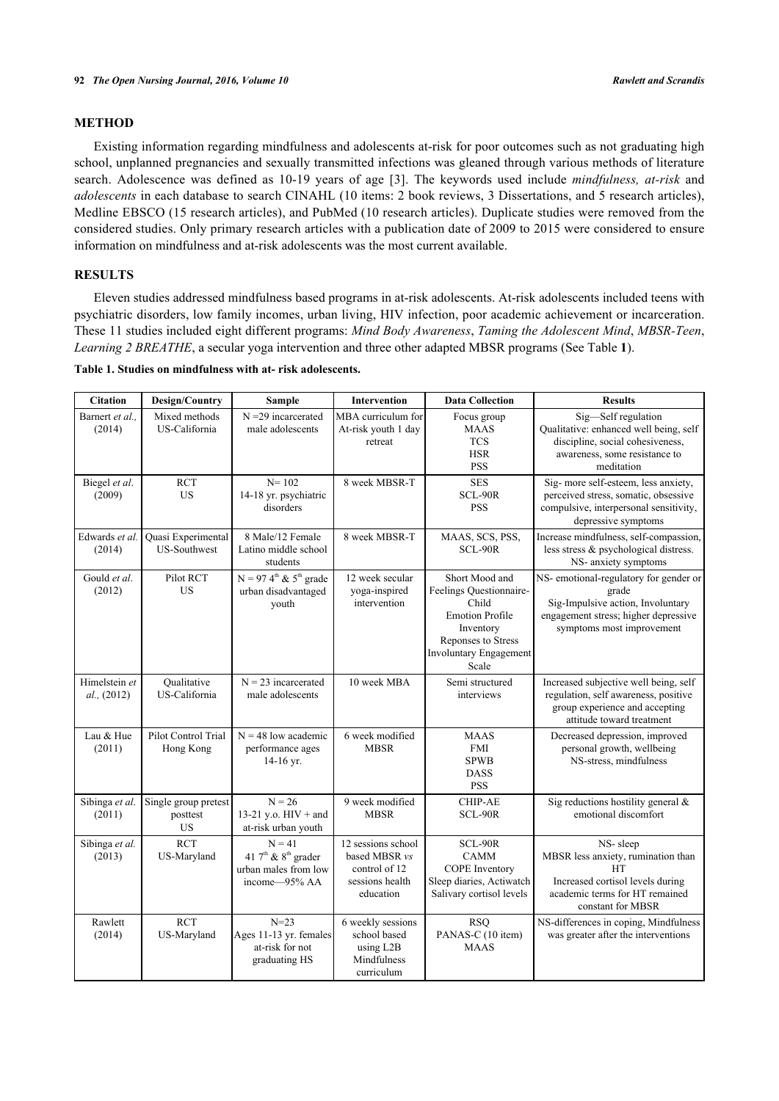## **METHOD**

Existing information regarding mindfulness and adolescents at-risk for poor outcomes such as not graduating high school, unplanned pregnancies and sexually transmitted infections was gleaned through various methods of literature search. Adolescence was defined as 10-19 years of age [\[3](#page-6-2)]. The keywords used include *mindfulness, at-risk* and *adolescents* in each database to search CINAHL (10 items: 2 book reviews, 3 Dissertations, and 5 research articles), Medline EBSCO (15 research articles), and PubMed (10 research articles). Duplicate studies were removed from the considered studies. Only primary research articles with a publication date of 2009 to 2015 were considered to ensure information on mindfulness and at-risk adolescents was the most current available.

## **RESULTS**

Eleven studies addressed mindfulness based programs in at-risk adolescents. At-risk adolescents included teens with psychiatric disorders, low family incomes, urban living, HIV infection, poor academic achievement or incarceration. These 11 studies included eight different programs: *Mind Body Awareness*, *Taming the Adolescent Mind*, *MBSR-Teen*, *Learning 2 BREATHE*, a secular yoga intervention and three other adapted MBSR programs (See Table **[1](#page-2-0)**).

<span id="page-2-0"></span>**Table 1. Studies on mindfulness with at- risk adolescents.**

| <b>Citation</b>              | <b>Design/Country</b>                     | <b>Sample</b>                                                                            | <b>Intervention</b>                                                                  | <b>Data Collection</b>                                                                                                                             | <b>Results</b>                                                                                                                                            |
|------------------------------|-------------------------------------------|------------------------------------------------------------------------------------------|--------------------------------------------------------------------------------------|----------------------------------------------------------------------------------------------------------------------------------------------------|-----------------------------------------------------------------------------------------------------------------------------------------------------------|
| Barnert et al.,<br>(2014)    | Mixed methods<br>US-California            | $N = 29$ incarcerated<br>male adolescents                                                | MBA curriculum for<br>At-risk youth 1 day<br>retreat                                 | Focus group<br><b>MAAS</b><br><b>TCS</b><br><b>HSR</b><br><b>PSS</b>                                                                               | Sig-Self regulation<br>Qualitative: enhanced well being, self<br>discipline, social cohesiveness,<br>awareness, some resistance to<br>meditation          |
| Biegel et al.<br>(2009)      | <b>RCT</b><br><b>US</b>                   | $N = 102$<br>14-18 yr. psychiatric<br>disorders                                          | 8 week MBSR-T                                                                        | <b>SES</b><br>SCL-90R<br><b>PSS</b>                                                                                                                | Sig- more self-esteem, less anxiety,<br>perceived stress, somatic, obsessive<br>compulsive, interpersonal sensitivity,<br>depressive symptoms             |
| Edwards et al.<br>(2014)     | Quasi Experimental<br><b>US-Southwest</b> | 8 Male/12 Female<br>Latino middle school<br>students                                     | 8 week MBSR-T                                                                        | MAAS, SCS, PSS,<br>SCL-90R                                                                                                                         | Increase mindfulness, self-compassion,<br>less stress & psychological distress.<br>NS- anxiety symptoms                                                   |
| Gould et al.<br>(2012)       | Pilot RCT<br><b>US</b>                    | $\overline{N} = 97.4^{\text{th}} \& 5^{\text{th}}$ grade<br>urban disadvantaged<br>youth | 12 week secular<br>yoga-inspired<br>intervention                                     | Short Mood and<br>Feelings Questionnaire-<br>Child<br><b>Emotion Profile</b><br>Inventory<br>Reponses to Stress<br>Involuntary Engagement<br>Scale | NS- emotional-regulatory for gender or<br>grade<br>Sig-Impulsive action, Involuntary<br>engagement stress; higher depressive<br>symptoms most improvement |
| Himelstein et<br>al., (2012) | Oualitative<br>US-California              | $N = 23$ incarcerated<br>male adolescents                                                | 10 week MBA                                                                          | Semi structured<br>interviews                                                                                                                      | Increased subjective well being, self<br>regulation, self awareness, positive<br>group experience and accepting<br>attitude toward treatment              |
| Lau & Hue<br>(2011)          | Pilot Control Trial<br>Hong Kong          | $N = 48$ low academic<br>performance ages<br>14-16 yr.                                   | 6 week modified<br><b>MBSR</b>                                                       | <b>MAAS</b><br><b>FMI</b><br><b>SPWB</b><br><b>DASS</b><br><b>PSS</b>                                                                              | Decreased depression, improved<br>personal growth, wellbeing<br>NS-stress, mindfulness                                                                    |
| Sibinga et al.<br>(2011)     | Single group pretest<br>posttest<br>US    | $N = 26$<br>13-21 y.o. $HIV + and$<br>at-risk urban youth                                | 9 week modified<br><b>MBSR</b>                                                       | <b>CHIP-AE</b><br>SCL-90R                                                                                                                          | Sig reductions hostility general &<br>emotional discomfort                                                                                                |
| Sibinga et al.<br>(2013)     | <b>RCT</b><br>US-Maryland                 | $N = 41$<br>41 $7th$ & $8th$ grader<br>urban males from low<br>income-95% AA             | 12 sessions school<br>based MBSR vs<br>control of 12<br>sessions health<br>education | SCL-90R<br><b>CAMM</b><br>COPE Inventory<br>Sleep diaries, Actiwatch<br>Salivary cortisol levels                                                   | NS-sleep<br>MBSR less anxiety, rumination than<br><b>HT</b><br>Increased cortisol levels during<br>academic terms for HT remained<br>constant for MBSR    |
| Rawlett<br>(2014)            | <b>RCT</b><br>US-Maryland                 | $N=23$<br>Ages 11-13 yr. females<br>at-risk for not<br>graduating HS                     | 6 weekly sessions<br>school based<br>using L2B<br>Mindfulness<br>curriculum          | <b>RSQ</b><br>PANAS-C (10 item)<br><b>MAAS</b>                                                                                                     | NS-differences in coping, Mindfulness<br>was greater after the interventions                                                                              |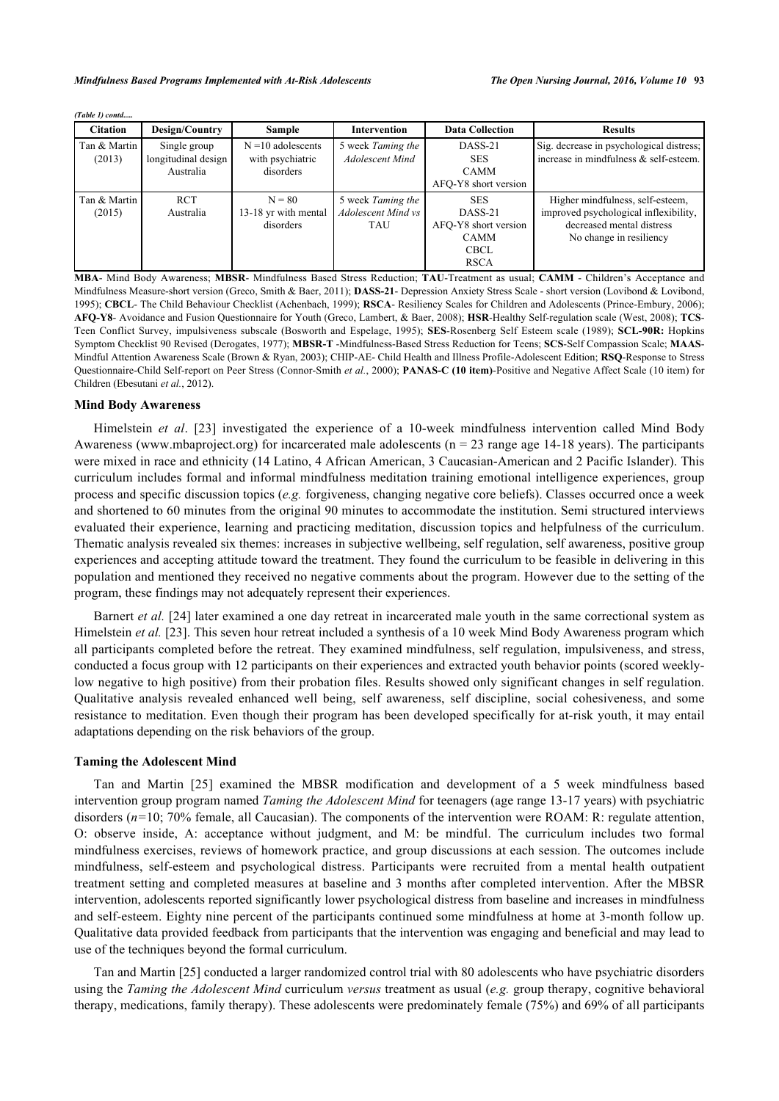|  | (Table 1) contd |
|--|-----------------|
|  |                 |

| <b>Citation</b>        | Design/Country                                   | <b>Sample</b>                                         | Intervention                                          | <b>Data Collection</b>                                                                     | <b>Results</b>                                                                                                                    |  |  |  |  |
|------------------------|--------------------------------------------------|-------------------------------------------------------|-------------------------------------------------------|--------------------------------------------------------------------------------------------|-----------------------------------------------------------------------------------------------------------------------------------|--|--|--|--|
| Tan & Martin<br>(2013) | Single group<br>longitudinal design<br>Australia | $N = 10$ adolescents<br>with psychiatric<br>disorders | 5 week Taming the<br><b>Adolescent Mind</b>           | DASS-21<br><b>SES</b><br><b>CAMM</b>                                                       | Sig. decrease in psychological distress;<br>increase in mindfulness & self-esteem.                                                |  |  |  |  |
|                        |                                                  |                                                       |                                                       | AFO-Y8 short version                                                                       |                                                                                                                                   |  |  |  |  |
| Tan & Martin<br>(2015) | <b>RCT</b><br>Australia                          | $N = 80$<br>13-18 yr with mental<br>disorders         | 5 week Taming the<br>Adolescent Mind vs<br><b>TAU</b> | <b>SES</b><br>DASS-21<br>AFO-Y8 short version<br><b>CAMM</b><br><b>CBCL</b><br><b>RSCA</b> | Higher mindfulness, self-esteem,<br>improved psychological inflexibility,<br>decreased mental distress<br>No change in resiliency |  |  |  |  |

**MBA**- Mind Body Awareness; **MBSR**- Mindfulness Based Stress Reduction; **TAU**-Treatment as usual; **CAMM** - Children's Acceptance and Mindfulness Measure-short version (Greco, Smith & Baer, 2011); **DASS-21**- Depression Anxiety Stress Scale - short version (Lovibond & Lovibond, 1995); **CBCL**- The Child Behaviour Checklist (Achenbach, 1999); **RSCA**- Resiliency Scales for Children and Adolescents (Prince-Embury, 2006); **AFQ-Y8**- Avoidance and Fusion Questionnaire for Youth (Greco, Lambert, & Baer, 2008); **HSR**-Healthy Self-regulation scale (West, 2008); **TCS**-Teen Conflict Survey, impulsiveness subscale (Bosworth and Espelage, 1995); **SES**-Rosenberg Self Esteem scale (1989); **SCL-90R:** Hopkins Symptom Checklist 90 Revised (Derogates, 1977); **MBSR-T** -Mindfulness-Based Stress Reduction for Teens; **SCS**-Self Compassion Scale; **MAAS**-Mindful Attention Awareness Scale (Brown & Ryan, 2003); CHIP-AE- Child Health and Illness Profile-Adolescent Edition; **RSQ**-Response to Stress Questionnaire-Child Self-report on Peer Stress (Connor-Smith *et al.*, 2000); **PANAS-C (10 item)**-Positive and Negative Affect Scale (10 item) for Children (Ebesutani *et al.*, 2012).

## **Mind Body Awareness**

Himelstein *et al*.[[23](#page-7-15)] investigated the experience of a 10-week mindfulness intervention called Mind Body Awareness (www.mbaproject.org) for incarcerated male adolescents ( $n = 23$  range age 14-18 years). The participants were mixed in race and ethnicity (14 Latino, 4 African American, 3 Caucasian-American and 2 Pacific Islander). This curriculum includes formal and informal mindfulness meditation training emotional intelligence experiences, group process and specific discussion topics (*e.g.* forgiveness, changing negative core beliefs). Classes occurred once a week and shortened to 60 minutes from the original 90 minutes to accommodate the institution. Semi structured interviews evaluated their experience, learning and practicing meditation, discussion topics and helpfulness of the curriculum. Thematic analysis revealed six themes: increases in subjective wellbeing, self regulation, self awareness, positive group experiences and accepting attitude toward the treatment. They found the curriculum to be feasible in delivering in this population and mentioned they received no negative comments about the program. However due to the setting of the program, these findings may not adequately represent their experiences.

Barnert *et al.* [\[24\]](#page-7-16) later examined a one day retreat in incarcerated male youth in the same correctional system as Himelstein *et al.* [[23\]](#page-7-15). This seven hour retreat included a synthesis of a 10 week Mind Body Awareness program which all participants completed before the retreat. They examined mindfulness, self regulation, impulsiveness, and stress, conducted a focus group with 12 participants on their experiences and extracted youth behavior points (scored weeklylow negative to high positive) from their probation files. Results showed only significant changes in self regulation. Qualitative analysis revealed enhanced well being, self awareness, self discipline, social cohesiveness, and some resistance to meditation. Even though their program has been developed specifically for at-risk youth, it may entail adaptations depending on the risk behaviors of the group.

#### **Taming the Adolescent Mind**

Tan and Martin [\[25](#page-7-17)] examined the MBSR modification and development of a 5 week mindfulness based intervention group program named *Taming the Adolescent Mind* for teenagers (age range 13-17 years) with psychiatric disorders (*n=*10; 70% female, all Caucasian). The components of the intervention were ROAM: R: regulate attention, O: observe inside, A: acceptance without judgment, and M: be mindful. The curriculum includes two formal mindfulness exercises, reviews of homework practice, and group discussions at each session. The outcomes include mindfulness, self-esteem and psychological distress. Participants were recruited from a mental health outpatient treatment setting and completed measures at baseline and 3 months after completed intervention. After the MBSR intervention, adolescents reported significantly lower psychological distress from baseline and increases in mindfulness and self-esteem. Eighty nine percent of the participants continued some mindfulness at home at 3-month follow up. Qualitative data provided feedback from participants that the intervention was engaging and beneficial and may lead to use of the techniques beyond the formal curriculum.

Tan and Martin [\[25](#page-7-17)] conducted a larger randomized control trial with 80 adolescents who have psychiatric disorders using the *Taming the Adolescent Mind* curriculum *versus* treatment as usual (*e.g.* group therapy, cognitive behavioral therapy, medications, family therapy). These adolescents were predominately female (75%) and 69% of all participants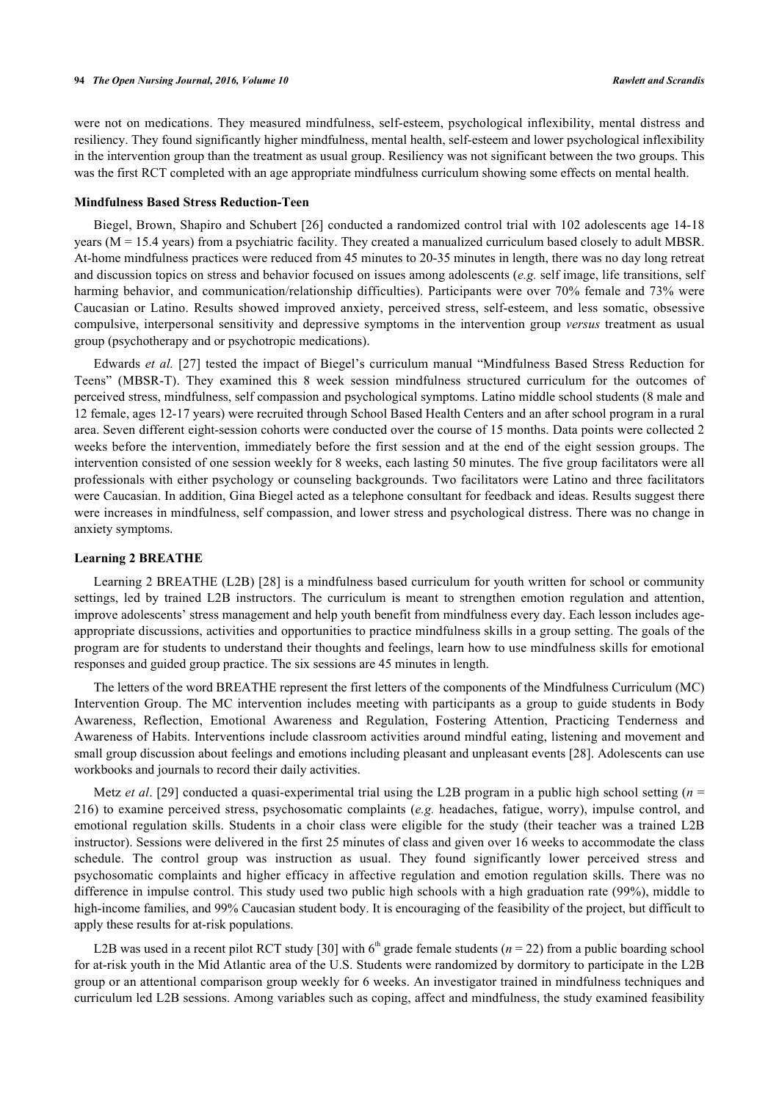were not on medications. They measured mindfulness, self-esteem, psychological inflexibility, mental distress and resiliency. They found significantly higher mindfulness, mental health, self-esteem and lower psychological inflexibility in the intervention group than the treatment as usual group. Resiliency was not significant between the two groups. This was the first RCT completed with an age appropriate mindfulness curriculum showing some effects on mental health.

### **Mindfulness Based Stress Reduction-Teen**

Biegel, Brown, Shapiro and Schubert [[26\]](#page-7-18) conducted a randomized control trial with 102 adolescents age 14-18 years ( $M = 15.4$  years) from a psychiatric facility. They created a manualized curriculum based closely to adult MBSR. At-home mindfulness practices were reduced from 45 minutes to 20-35 minutes in length, there was no day long retreat and discussion topics on stress and behavior focused on issues among adolescents (*e.g.* self image, life transitions, self harming behavior, and communication/relationship difficulties). Participants were over 70% female and 73% were Caucasian or Latino. Results showed improved anxiety, perceived stress, self-esteem, and less somatic, obsessive compulsive, interpersonal sensitivity and depressive symptoms in the intervention group *versus* treatment as usual group (psychotherapy and or psychotropic medications).

Edwards *et al.* [[27](#page-7-19)] tested the impact of Biegel's curriculum manual "Mindfulness Based Stress Reduction for Teens" (MBSR-T). They examined this 8 week session mindfulness structured curriculum for the outcomes of perceived stress, mindfulness, self compassion and psychological symptoms. Latino middle school students (8 male and 12 female, ages 12-17 years) were recruited through School Based Health Centers and an after school program in a rural area. Seven different eight-session cohorts were conducted over the course of 15 months. Data points were collected 2 weeks before the intervention, immediately before the first session and at the end of the eight session groups. The intervention consisted of one session weekly for 8 weeks, each lasting 50 minutes. The five group facilitators were all professionals with either psychology or counseling backgrounds. Two facilitators were Latino and three facilitators were Caucasian. In addition, Gina Biegel acted as a telephone consultant for feedback and ideas. Results suggest there were increases in mindfulness, self compassion, and lower stress and psychological distress. There was no change in anxiety symptoms.

## **Learning 2 BREATHE**

Learning 2 BREATHE (L2B) [[28](#page-7-20)] is a mindfulness based curriculum for youth written for school or community settings, led by trained L2B instructors. The curriculum is meant to strengthen emotion regulation and attention, improve adolescents' stress management and help youth benefit from mindfulness every day. Each lesson includes ageappropriate discussions, activities and opportunities to practice mindfulness skills in a group setting. The goals of the program are for students to understand their thoughts and feelings, learn how to use mindfulness skills for emotional responses and guided group practice. The six sessions are 45 minutes in length.

The letters of the word BREATHE represent the first letters of the components of the Mindfulness Curriculum (MC) Intervention Group. The MC intervention includes meeting with participants as a group to guide students in Body Awareness, Reflection, Emotional Awareness and Regulation, Fostering Attention, Practicing Tenderness and Awareness of Habits. Interventions include classroom activities around mindful eating, listening and movement and small group discussion about feelings and emotions including pleasant and unpleasant events [\[28](#page-7-20)]. Adolescents can use workbooks and journals to record their daily activities.

Metz *et al*. [\[29](#page-7-21)] conducted a quasi-experimental trial using the L2B program in a public high school setting (*n* = 216) to examine perceived stress, psychosomatic complaints (*e.g.* headaches, fatigue, worry), impulse control, and emotional regulation skills. Students in a choir class were eligible for the study (their teacher was a trained L2B instructor). Sessions were delivered in the first 25 minutes of class and given over 16 weeks to accommodate the class schedule. The control group was instruction as usual. They found significantly lower perceived stress and psychosomatic complaints and higher efficacy in affective regulation and emotion regulation skills. There was no difference in impulse control. This study used two public high schools with a high graduation rate (99%), middle to high-income families, and 99% Caucasian student body. It is encouraging of the feasibility of the project, but difficult to apply these results for at-risk populations.

L2B was used in a recent pilot RCT study [\[30](#page-8-0)] with  $6<sup>th</sup>$  grade female students ( $n = 22$ ) from a public boarding school for at-risk youth in the Mid Atlantic area of the U.S. Students were randomized by dormitory to participate in the L2B group or an attentional comparison group weekly for 6 weeks. An investigator trained in mindfulness techniques and curriculum led L2B sessions. Among variables such as coping, affect and mindfulness, the study examined feasibility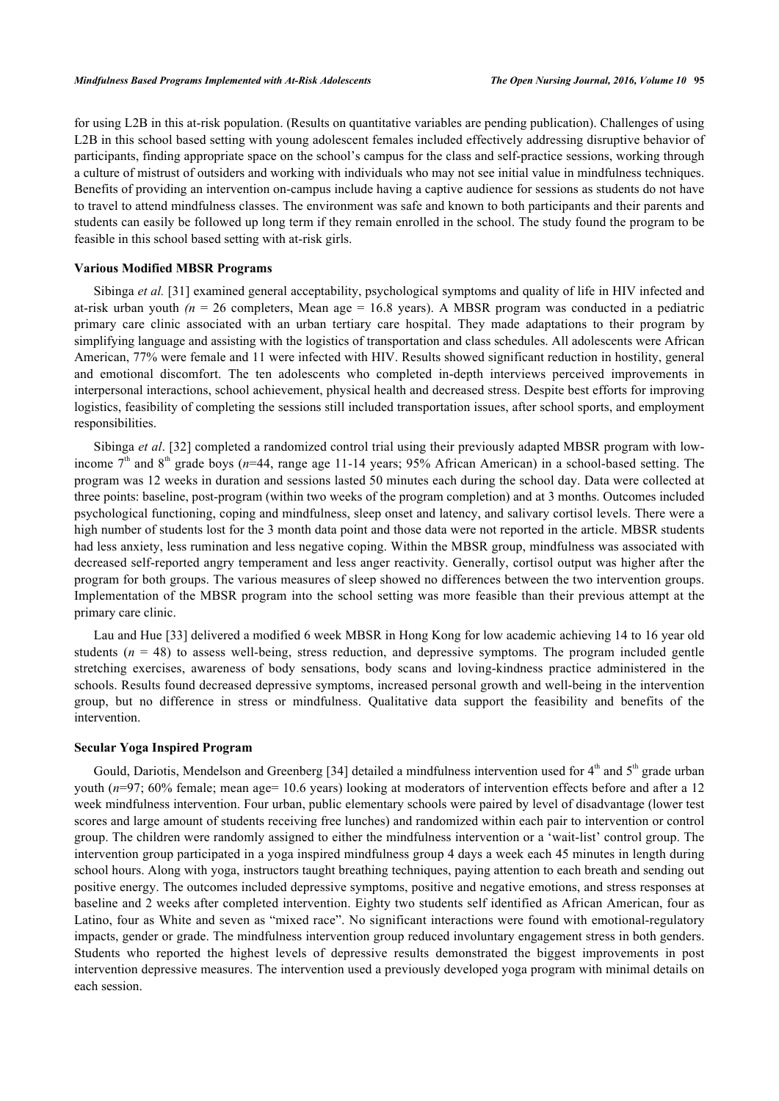for using L2B in this at-risk population. (Results on quantitative variables are pending publication). Challenges of using L2B in this school based setting with young adolescent females included effectively addressing disruptive behavior of participants, finding appropriate space on the school's campus for the class and self-practice sessions, working through a culture of mistrust of outsiders and working with individuals who may not see initial value in mindfulness techniques. Benefits of providing an intervention on-campus include having a captive audience for sessions as students do not have to travel to attend mindfulness classes. The environment was safe and known to both participants and their parents and students can easily be followed up long term if they remain enrolled in the school. The study found the program to be feasible in this school based setting with at-risk girls.

## **Various Modified MBSR Programs**

Sibinga *et al.* [[31\]](#page-8-1) examined general acceptability, psychological symptoms and quality of life in HIV infected and at-risk urban youth  $(n = 26$  completers, Mean age  $= 16.8$  years). A MBSR program was conducted in a pediatric primary care clinic associated with an urban tertiary care hospital. They made adaptations to their program by simplifying language and assisting with the logistics of transportation and class schedules. All adolescents were African American, 77% were female and 11 were infected with HIV. Results showed significant reduction in hostility, general and emotional discomfort. The ten adolescents who completed in-depth interviews perceived improvements in interpersonal interactions, school achievement, physical health and decreased stress. Despite best efforts for improving logistics, feasibility of completing the sessions still included transportation issues, after school sports, and employment responsibilities.

Sibinga *et al*. [[32\]](#page-8-2) completed a randomized control trial using their previously adapted MBSR program with lowincome  $7<sup>th</sup>$  and  $8<sup>th</sup>$  grade boys ( $n=44$ , range age 11-14 years; 95% African American) in a school-based setting. The program was 12 weeks in duration and sessions lasted 50 minutes each during the school day. Data were collected at three points: baseline, post-program (within two weeks of the program completion) and at 3 months. Outcomes included psychological functioning, coping and mindfulness, sleep onset and latency, and salivary cortisol levels. There were a high number of students lost for the 3 month data point and those data were not reported in the article. MBSR students had less anxiety, less rumination and less negative coping. Within the MBSR group, mindfulness was associated with decreased self-reported angry temperament and less anger reactivity. Generally, cortisol output was higher after the program for both groups. The various measures of sleep showed no differences between the two intervention groups. Implementation of the MBSR program into the school setting was more feasible than their previous attempt at the primary care clinic.

Lau and Hue [[33](#page-8-3)] delivered a modified 6 week MBSR in Hong Kong for low academic achieving 14 to 16 year old students  $(n = 48)$  to assess well-being, stress reduction, and depressive symptoms. The program included gentle stretching exercises, awareness of body sensations, body scans and loving-kindness practice administered in the schools. Results found decreased depressive symptoms, increased personal growth and well-being in the intervention group, but no difference in stress or mindfulness. Qualitative data support the feasibility and benefits of the intervention.

#### **Secular Yoga Inspired Program**

Gould, Dariotis, Mendelson and Greenberg [[34\]](#page-8-4) detailed a mindfulness intervention used for  $4<sup>th</sup>$  and  $5<sup>th</sup>$  grade urban youth ( $n=97$ ; 60% female; mean age= 10.6 years) looking at moderators of intervention effects before and after a 12 week mindfulness intervention. Four urban, public elementary schools were paired by level of disadvantage (lower test scores and large amount of students receiving free lunches) and randomized within each pair to intervention or control group. The children were randomly assigned to either the mindfulness intervention or a 'wait-list' control group. The intervention group participated in a yoga inspired mindfulness group 4 days a week each 45 minutes in length during school hours. Along with yoga, instructors taught breathing techniques, paying attention to each breath and sending out positive energy. The outcomes included depressive symptoms, positive and negative emotions, and stress responses at baseline and 2 weeks after completed intervention. Eighty two students self identified as African American, four as Latino, four as White and seven as "mixed race". No significant interactions were found with emotional-regulatory impacts, gender or grade. The mindfulness intervention group reduced involuntary engagement stress in both genders. Students who reported the highest levels of depressive results demonstrated the biggest improvements in post intervention depressive measures. The intervention used a previously developed yoga program with minimal details on each session.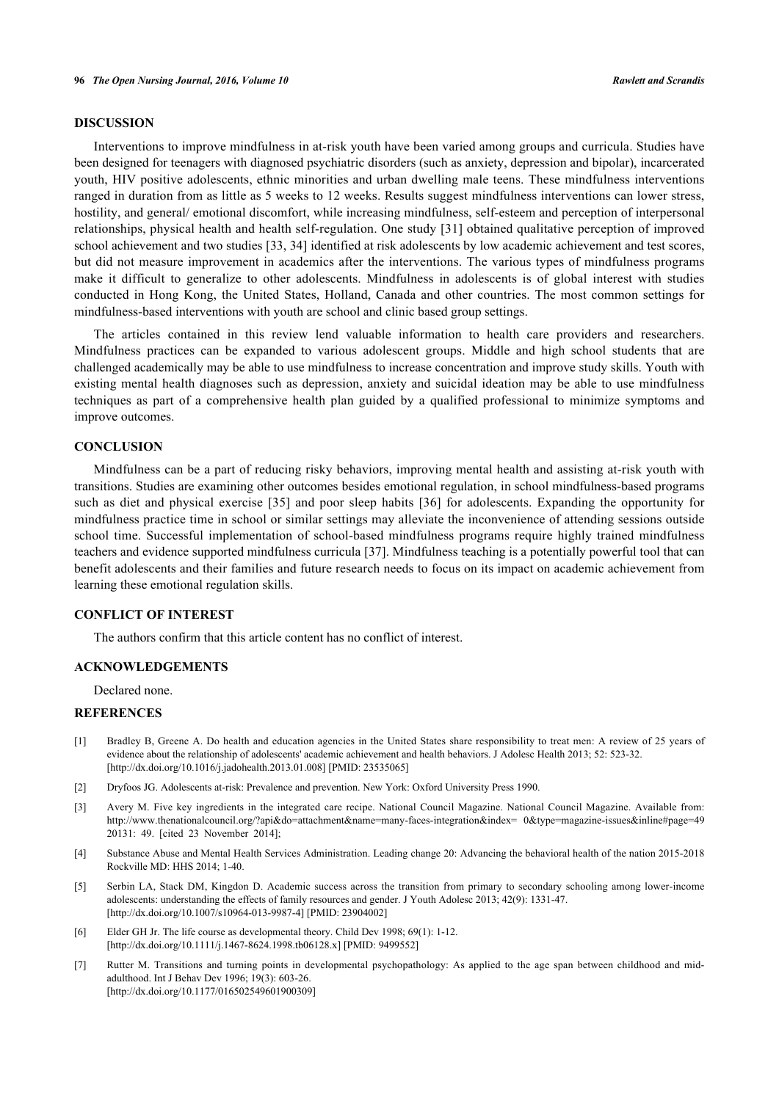## **DISCUSSION**

Interventions to improve mindfulness in at-risk youth have been varied among groups and curricula. Studies have been designed for teenagers with diagnosed psychiatric disorders (such as anxiety, depression and bipolar), incarcerated youth, HIV positive adolescents, ethnic minorities and urban dwelling male teens. These mindfulness interventions ranged in duration from as little as 5 weeks to 12 weeks. Results suggest mindfulness interventions can lower stress, hostility, and general/ emotional discomfort, while increasing mindfulness, self-esteem and perception of interpersonal relationships, physical health and health self-regulation. One study [\[31](#page-8-1)] obtained qualitative perception of improved school achievement and two studies [[33,](#page-8-3) [34\]](#page-8-4) identified at risk adolescents by low academic achievement and test scores, but did not measure improvement in academics after the interventions. The various types of mindfulness programs make it difficult to generalize to other adolescents. Mindfulness in adolescents is of global interest with studies conducted in Hong Kong, the United States, Holland, Canada and other countries. The most common settings for mindfulness-based interventions with youth are school and clinic based group settings.

The articles contained in this review lend valuable information to health care providers and researchers. Mindfulness practices can be expanded to various adolescent groups. Middle and high school students that are challenged academically may be able to use mindfulness to increase concentration and improve study skills. Youth with existing mental health diagnoses such as depression, anxiety and suicidal ideation may be able to use mindfulness techniques as part of a comprehensive health plan guided by a qualified professional to minimize symptoms and improve outcomes.

## **CONCLUSION**

Mindfulness can be a part of reducing risky behaviors, improving mental health and assisting at-risk youth with transitions. Studies are examining other outcomes besides emotional regulation, in school mindfulness-based programs such as diet and physical exercise [\[35\]](#page-8-5) and poor sleep habits[[36\]](#page-8-6) for adolescents. Expanding the opportunity for mindfulness practice time in school or similar settings may alleviate the inconvenience of attending sessions outside school time. Successful implementation of school-based mindfulness programs require highly trained mindfulness teachers and evidence supported mindfulness curricula [[37\]](#page-8-7). Mindfulness teaching is a potentially powerful tool that can benefit adolescents and their families and future research needs to focus on its impact on academic achievement from learning these emotional regulation skills.

## **CONFLICT OF INTEREST**

The authors confirm that this article content has no conflict of interest.

## **ACKNOWLEDGEMENTS**

Declared none.

## **REFERENCES**

- <span id="page-6-0"></span>[1] Bradley B, Greene A. Do health and education agencies in the United States share responsibility to treat men: A review of 25 years of evidence about the relationship of adolescents' academic achievement and health behaviors. J Adolesc Health 2013; 52: 523-32. [\[http://dx.doi.org/10.1016/j.jadohealth.2013.01.008](http://dx.doi.org/10.1016/j.jadohealth.2013.01.008)] [PMID: [23535065\]](http://www.ncbi.nlm.nih.gov/pubmed/23535065)
- <span id="page-6-1"></span>[2] Dryfoos JG. Adolescents at-risk: Prevalence and prevention. New York: Oxford University Press 1990.
- <span id="page-6-2"></span>[3] Avery M. Five key ingredients in the integrated care recipe. National Council Magazine. National Council Magazine. Available from: [http://www.thenationalcouncil.org/?api&do=attachment&name=many-faces-integration&index= 0&type=magazine-issues&inline#page=49](http://www.thenationalcouncil.org/?api&do=attachment&name=many-faces-integration&index=0&type=magazine-issues&inline#page=49) 20131: 49. [cited 23 November 2014];
- <span id="page-6-3"></span>[4] Substance Abuse and Mental Health Services Administration. Leading change 20: Advancing the behavioral health of the nation 2015-2018 Rockville MD: HHS 2014; 1-40.
- <span id="page-6-4"></span>[5] Serbin LA, Stack DM, Kingdon D. Academic success across the transition from primary to secondary schooling among lower-income adolescents: understanding the effects of family resources and gender. J Youth Adolesc 2013; 42(9): 1331-47. [\[http://dx.doi.org/10.1007/s10964-013-9987-4\]](http://dx.doi.org/10.1007/s10964-013-9987-4) [PMID: [23904002](http://www.ncbi.nlm.nih.gov/pubmed/23904002)]
- <span id="page-6-5"></span>[6] Elder GH Jr. The life course as developmental theory. Child Dev 1998; 69(1): 1-12. [\[http://dx.doi.org/10.1111/j.1467-8624.1998.tb06128.x\]](http://dx.doi.org/10.1111/j.1467-8624.1998.tb06128.x) [PMID: [9499552](http://www.ncbi.nlm.nih.gov/pubmed/9499552)]
- <span id="page-6-6"></span>[7] Rutter M. Transitions and turning points in developmental psychopathology: As applied to the age span between childhood and midadulthood. Int J Behav Dev 1996; 19(3): 603-26. [\[http://dx.doi.org/10.1177/016502549601900309\]](http://dx.doi.org/10.1177/016502549601900309)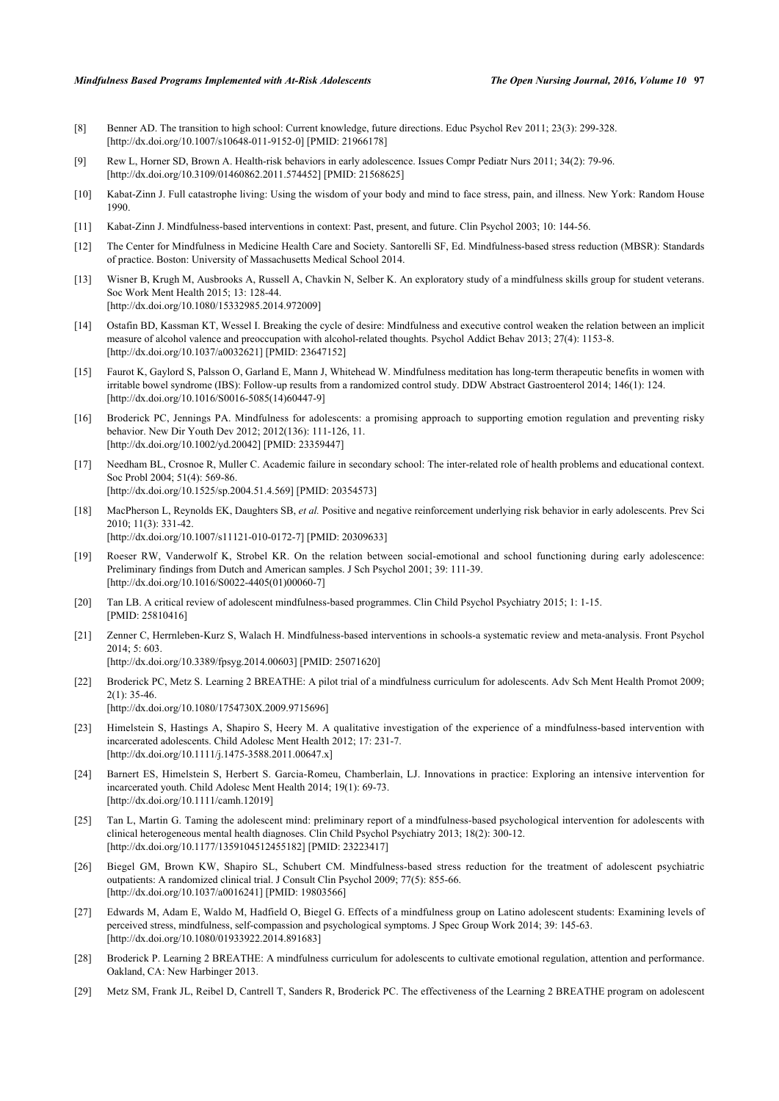- <span id="page-7-0"></span>[8] Benner AD. The transition to high school: Current knowledge, future directions. Educ Psychol Rev 2011; 23(3): 299-328. [\[http://dx.doi.org/10.1007/s10648-011-9152-0\]](http://dx.doi.org/10.1007/s10648-011-9152-0) [PMID: [21966178](http://www.ncbi.nlm.nih.gov/pubmed/21966178)]
- <span id="page-7-1"></span>[9] Rew L, Horner SD, Brown A. Health-risk behaviors in early adolescence. Issues Compr Pediatr Nurs 2011; 34(2): 79-96. [\[http://dx.doi.org/10.3109/01460862.2011.574452\]](http://dx.doi.org/10.3109/01460862.2011.574452) [PMID: [21568625](http://www.ncbi.nlm.nih.gov/pubmed/21568625)]
- <span id="page-7-2"></span>[10] Kabat-Zinn J. Full catastrophe living: Using the wisdom of your body and mind to face stress, pain, and illness. New York: Random House 1990.
- <span id="page-7-3"></span>[11] Kabat-Zinn J. Mindfulness-based interventions in context: Past, present, and future. Clin Psychol 2003; 10: 144-56.
- <span id="page-7-4"></span>[12] The Center for Mindfulness in Medicine Health Care and Society. Santorelli SF, Ed. Mindfulness-based stress reduction (MBSR): Standards of practice. Boston: University of Massachusetts Medical School 2014.
- <span id="page-7-5"></span>[13] Wisner B, Krugh M, Ausbrooks A, Russell A, Chavkin N, Selber K. An exploratory study of a mindfulness skills group for student veterans. Soc Work Ment Health 2015; 13: 128-44. [\[http://dx.doi.org/10.1080/15332985.2014.972009\]](http://dx.doi.org/10.1080/15332985.2014.972009)
- <span id="page-7-6"></span>[14] Ostafin BD, Kassman KT, Wessel I. Breaking the cycle of desire: Mindfulness and executive control weaken the relation between an implicit measure of alcohol valence and preoccupation with alcohol-related thoughts. Psychol Addict Behav 2013; 27(4): 1153-8. [\[http://dx.doi.org/10.1037/a0032621](http://dx.doi.org/10.1037/a0032621)] [PMID: [23647152\]](http://www.ncbi.nlm.nih.gov/pubmed/23647152)
- <span id="page-7-7"></span>[15] Faurot K, Gaylord S, Palsson O, Garland E, Mann J, Whitehead W. Mindfulness meditation has long-term therapeutic benefits in women with irritable bowel syndrome (IBS): Follow-up results from a randomized control study. DDW Abstract Gastroenterol 2014; 146(1): 124. [\[http://dx.doi.org/10.1016/S0016-5085\(14\)60447-9\]](http://dx.doi.org/10.1016/S0016-5085(14)60447-9)
- <span id="page-7-8"></span>[16] Broderick PC, Jennings PA. Mindfulness for adolescents: a promising approach to supporting emotion regulation and preventing risky behavior. New Dir Youth Dev 2012; 2012(136): 111-126, 11. [\[http://dx.doi.org/10.1002/yd.20042\]](http://dx.doi.org/10.1002/yd.20042) [PMID: [23359447](http://www.ncbi.nlm.nih.gov/pubmed/23359447)]
- <span id="page-7-9"></span>[17] Needham BL, Crosnoe R, Muller C. Academic failure in secondary school: The inter-related role of health problems and educational context. Soc Probl 2004; 51(4): 569-86. [\[http://dx.doi.org/10.1525/sp.2004.51.4.569\]](http://dx.doi.org/10.1525/sp.2004.51.4.569) [PMID: [20354573](http://www.ncbi.nlm.nih.gov/pubmed/20354573)]
- <span id="page-7-10"></span>[18] MacPherson L, Reynolds EK, Daughters SB, *et al.* Positive and negative reinforcement underlying risk behavior in early adolescents. Prev Sci 2010; 11(3): 331-42. [\[http://dx.doi.org/10.1007/s11121-010-0172-7\]](http://dx.doi.org/10.1007/s11121-010-0172-7) [PMID: [20309633](http://www.ncbi.nlm.nih.gov/pubmed/20309633)]
- <span id="page-7-11"></span>[19] Roeser RW, Vanderwolf K, Strobel KR. On the relation between social-emotional and school functioning during early adolescence: Preliminary findings from Dutch and American samples. J Sch Psychol 2001; 39: 111-39. [\[http://dx.doi.org/10.1016/S0022-4405\(01\)00060-7\]](http://dx.doi.org/10.1016/S0022-4405(01)00060-7)
- <span id="page-7-12"></span>[20] Tan LB. A critical review of adolescent mindfulness-based programmes. Clin Child Psychol Psychiatry 2015; 1: 1-15. [PMID: [25810416\]](http://www.ncbi.nlm.nih.gov/pubmed/25810416)
- <span id="page-7-13"></span>[21] Zenner C, Herrnleben-Kurz S, Walach H. Mindfulness-based interventions in schools-a systematic review and meta-analysis. Front Psychol 2014; 5: 603. [\[http://dx.doi.org/10.3389/fpsyg.2014.00603\]](http://dx.doi.org/10.3389/fpsyg.2014.00603) [PMID: [25071620](http://www.ncbi.nlm.nih.gov/pubmed/25071620)]
	-
- <span id="page-7-14"></span>[22] Broderick PC, Metz S. Learning 2 BREATHE: A pilot trial of a mindfulness curriculum for adolescents. Adv Sch Ment Health Promot 2009;  $2(1)$ : 35-46. [\[http://dx.doi.org/10.1080/1754730X.2009.9715696\]](http://dx.doi.org/10.1080/1754730X.2009.9715696)
- <span id="page-7-15"></span>[23] Himelstein S, Hastings A, Shapiro S, Heery M. A qualitative investigation of the experience of a mindfulness-based intervention with incarcerated adolescents. Child Adolesc Ment Health 2012; 17: 231-7. [\[http://dx.doi.org/10.1111/j.1475-3588.2011.00647.x\]](http://dx.doi.org/10.1111/j.1475-3588.2011.00647.x)
- <span id="page-7-16"></span>[24] Barnert ES, Himelstein S, Herbert S. Garcia-Romeu, Chamberlain, LJ. Innovations in practice: Exploring an intensive intervention for incarcerated youth. Child Adolesc Ment Health 2014; 19(1): 69-73. [\[http://dx.doi.org/10.1111/camh.12019](http://dx.doi.org/10.1111/camh.12019)]
- <span id="page-7-17"></span>[25] Tan L, Martin G. Taming the adolescent mind: preliminary report of a mindfulness-based psychological intervention for adolescents with clinical heterogeneous mental health diagnoses. Clin Child Psychol Psychiatry 2013; 18(2): 300-12. [\[http://dx.doi.org/10.1177/1359104512455182\]](http://dx.doi.org/10.1177/1359104512455182) [PMID: [23223417](http://www.ncbi.nlm.nih.gov/pubmed/23223417)]
- <span id="page-7-18"></span>[26] Biegel GM, Brown KW, Shapiro SL, Schubert CM. Mindfulness-based stress reduction for the treatment of adolescent psychiatric outpatients: A randomized clinical trial. J Consult Clin Psychol 2009; 77(5): 855-66. [\[http://dx.doi.org/10.1037/a0016241](http://dx.doi.org/10.1037/a0016241)] [PMID: [19803566\]](http://www.ncbi.nlm.nih.gov/pubmed/19803566)
- <span id="page-7-19"></span>[27] Edwards M, Adam E, Waldo M, Hadfield O, Biegel G. Effects of a mindfulness group on Latino adolescent students: Examining levels of perceived stress, mindfulness, self-compassion and psychological symptoms. J Spec Group Work 2014; 39: 145-63. [\[http://dx.doi.org/10.1080/01933922.2014.891683\]](http://dx.doi.org/10.1080/01933922.2014.891683)
- <span id="page-7-20"></span>[28] Broderick P. Learning 2 BREATHE: A mindfulness curriculum for adolescents to cultivate emotional regulation, attention and performance. Oakland, CA: New Harbinger 2013.
- <span id="page-7-21"></span>[29] Metz SM, Frank JL, Reibel D, Cantrell T, Sanders R, Broderick PC. The effectiveness of the Learning 2 BREATHE program on adolescent